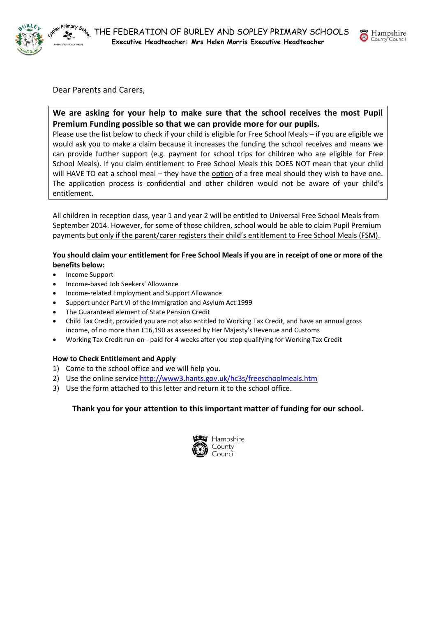

Dear Parents and Carers,

**We are asking for your help to make sure that the school receives the most Pupil Premium Funding possible so that we can provide more for our pupils.**

Please use the list below to check if your child is eligible for Free School Meals – if you are eligible we would ask you to make a claim because it increases the funding the school receives and means we can provide further support (e.g. payment for school trips for children who are eligible for Free School Meals). If you claim entitlement to Free School Meals this DOES NOT mean that your child will HAVE TO eat a school meal – they have the option of a free meal should they wish to have one. The application process is confidential and other children would not be aware of your child's entitlement.

All children in reception class, year 1 and year 2 will be entitled to Universal Free School Meals from September 2014. However, for some of those children, school would be able to claim Pupil Premium payments but only if the parent/carer registers their child's entitlement to Free School Meals (FSM).

## **You should claim your entitlement for Free School Meals if you are in receipt of one or more of the benefits below:**

- Income Support
- Income-based Job Seekers' Allowance
- Income-related Employment and Support Allowance
- Support under Part VI of the Immigration and Asylum Act 1999
- The Guaranteed element of State Pension Credit
- Child Tax Credit, provided you are not also entitled to Working Tax Credit, and have an annual gross income, of no more than £16,190 as assessed by Her Majesty's Revenue and Customs
- Working Tax Credit run-on paid for 4 weeks after you stop qualifying for Working Tax Credit

### **How to Check Entitlement and Apply**

- 1) Come to the school office and we will help you.
- 2) Use the online service<http://www3.hants.gov.uk/hc3s/freeschoolmeals.htm>
- 3) Use the form attached to this letter and return it to the school office.

## **Thank you for your attention to this important matter of funding for our school.**



Hampshire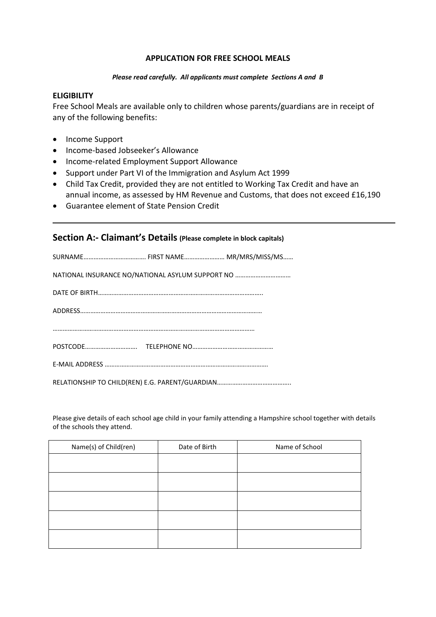## **APPLICATION FOR FREE SCHOOL MEALS**

#### *Please read carefully. All applicants must complete Sections A and B*

## **ELIGIBILITY**

Free School Meals are available only to children whose parents/guardians are in receipt of any of the following benefits:

- Income Support
- Income-based Jobseeker's Allowance
- Income-related Employment Support Allowance
- Support under Part VI of the Immigration and Asylum Act 1999
- Child Tax Credit, provided they are not entitled to Working Tax Credit and have an annual income, as assessed by HM Revenue and Customs, that does not exceed £16,190
- Guarantee element of State Pension Credit

## **Section A:- Claimant's Details (Please complete in block capitals)**

Please give details of each school age child in your family attending a Hampshire school together with details of the schools they attend.

| Name(s) of Child(ren) | Date of Birth | Name of School |
|-----------------------|---------------|----------------|
|                       |               |                |
|                       |               |                |
|                       |               |                |
|                       |               |                |
|                       |               |                |